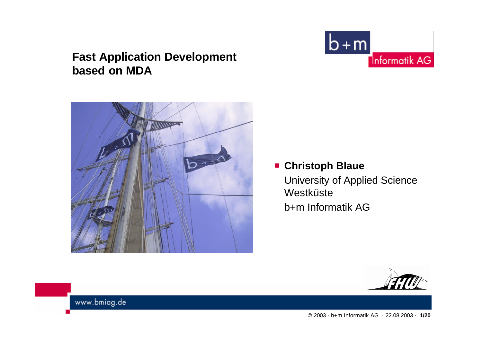#### **Fast Application Development based on MDA**





#### **Christoph Blaue**

University of Applied Science Westküste b+m Informatik AG

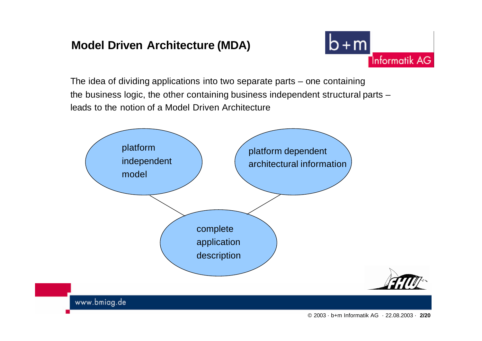### **Model Driven Architecture (MDA)**



The idea of dividing applications into two separate parts – one containing the business logic, the other containing business independent structural parts – leads to the notion of a Model Driven Architecture

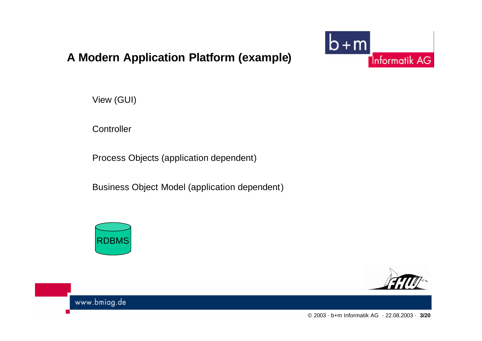



View (GUI)

**Controller** 

Process Objects (application dependent)

Business Object Model (application dependent)



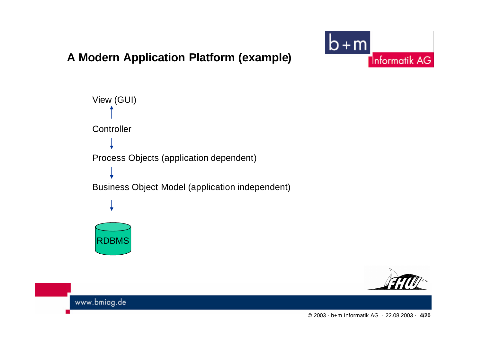### **A Modern Application Platform (example)**





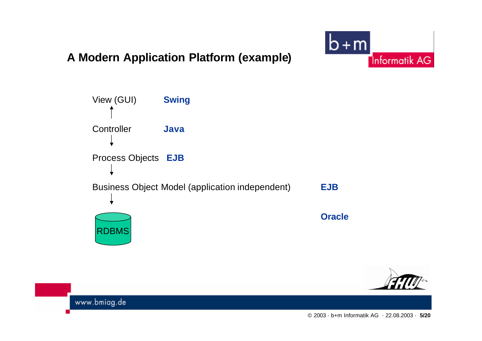#### **A Modern Application Platform (example)**





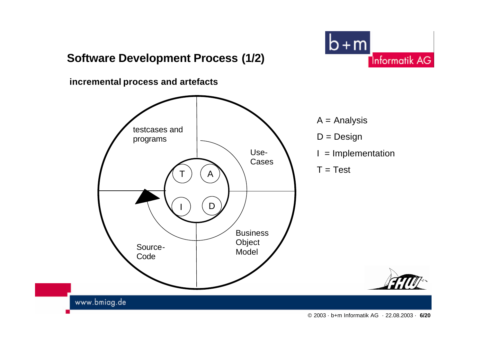### **Software Development Process (1/2)**



**incremental process and artefacts**



- $A =$  Analysis
- $D = Design$
- $I =$  Implementation
- $T = Test$

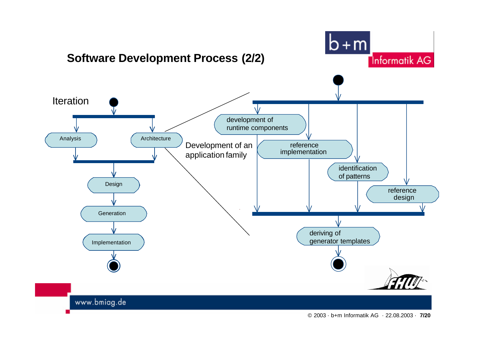

© 2003 · b+m Informatik AG · 22.08.2003 · **7/20**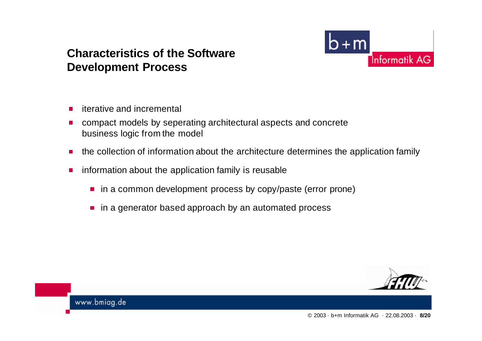#### **Characteristics of the Software Development Process**

**Informatik AG** 

- iterative and incremental  $\mathcal{L}_{\mathrm{eff}}$
- compact models by seperating architectural aspects and concrete  $\mathcal{L}_{\mathcal{A}}$ business logic from the model
- the collection of information about the architecture determines the application family  $\mathcal{L}_{\mathcal{A}}$
- information about the application family is reusable П
	- in a common development process by copy/paste (error prone)
	- in a generator based approach by an automated process

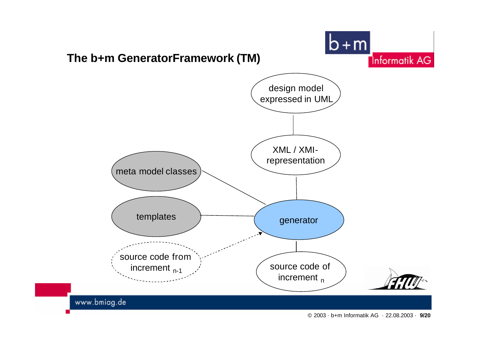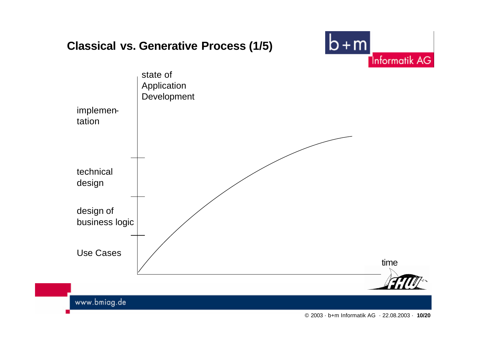## **Classical vs. Generative Process (1/5)**



© 2003 · b+m Informatik AG · 22.08.2003 · **10/20**

 $b+m$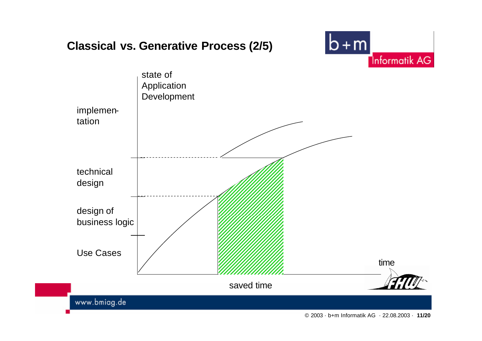## **Classical vs. Generative Process (2/5)**



 $b+m$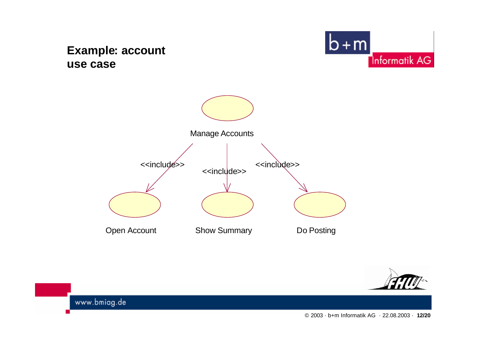#### **Example: account use case**







www.bmiag.de

© 2003 · b+m Informatik AG · 22.08.2003 · **12/20**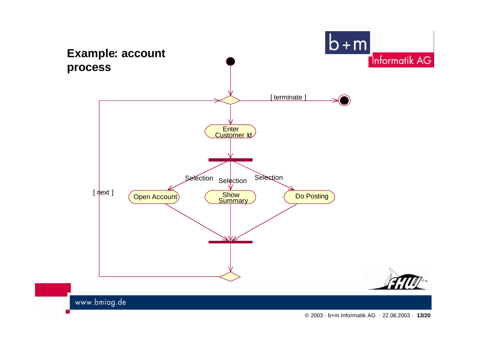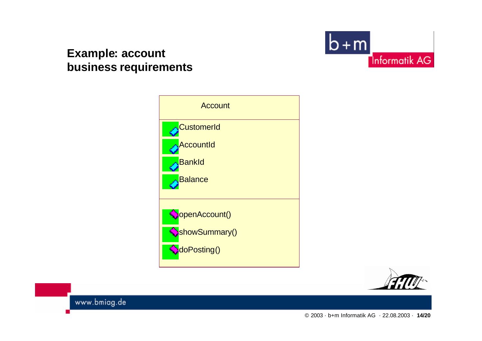#### **Example: account business requirements**





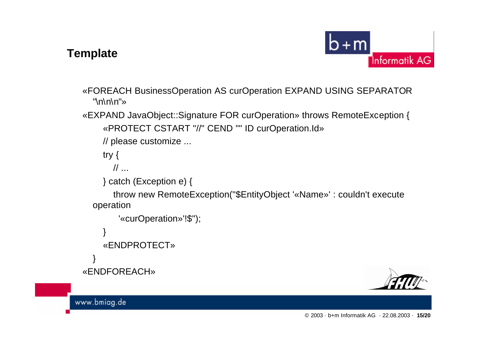#### **Template**



«FOREACH BusinessOperation AS curOperation EXPAND USING SEPARATOR  $"\n\nh\n\nh\n\nu"$ 

- «EXPAND JavaObject::Signature FOR curOperation» throws RemoteException { «PROTECT CSTART "//" CEND "" ID curOperation.Id»
	- // please customize ...

try {

 $\mathcal{U}$  ...

```
} catch (Exception e) {
```
throw new RemoteException("\$EntityObject '«Name»' : couldn't execute operation

```
'«curOperation»'!$");
```

```
}
```

```
«ENDPROTECT»
```

```
}
«ENDFOREACH»
```
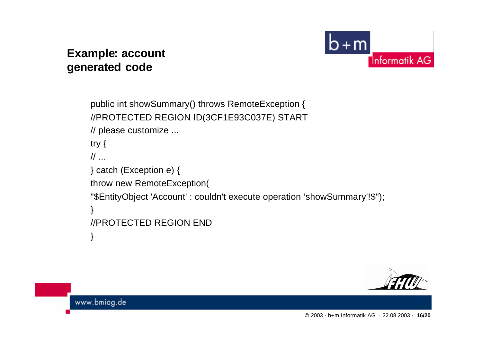#### **Example: account generated code**



```
public int showSummary() throws RemoteException {
//PROTECTED REGION ID(3CF1E93C037E) START
// please customize ...
try {
\frac{1}{2}} catch (Exception e) {
throw new RemoteException(
"$EntityObject 'Account' : couldn't execute operation 'showSummary'!$");
}
//PROTECTED REGION END
}
```
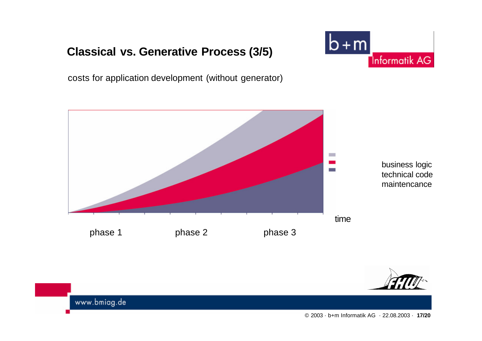# **Classical vs. Generative Process (3/5)**



costs for application development (without generator)





www.bmiag.de

© 2003 · b+m Informatik AG · 22.08.2003 · **17/20**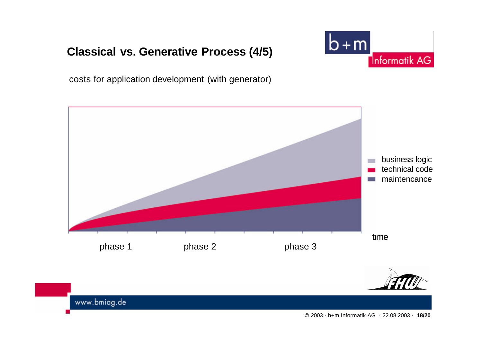# **Classical vs. Generative Process (4/5)**



costs for application development (with generator)





www.bmiag.de

© 2003 · b+m Informatik AG · 22.08.2003 · **18/20**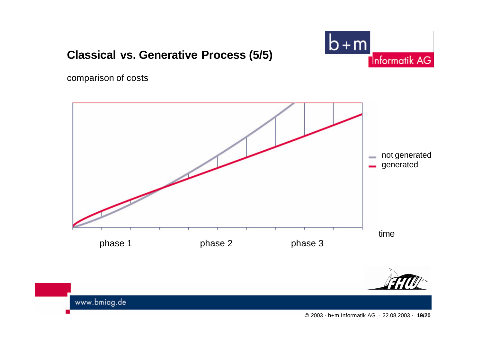

© 2003 · b+m Informatik AG · 22.08.2003 · **19/20**

phase 1 **phase 2** phase 3





# comparison of costs